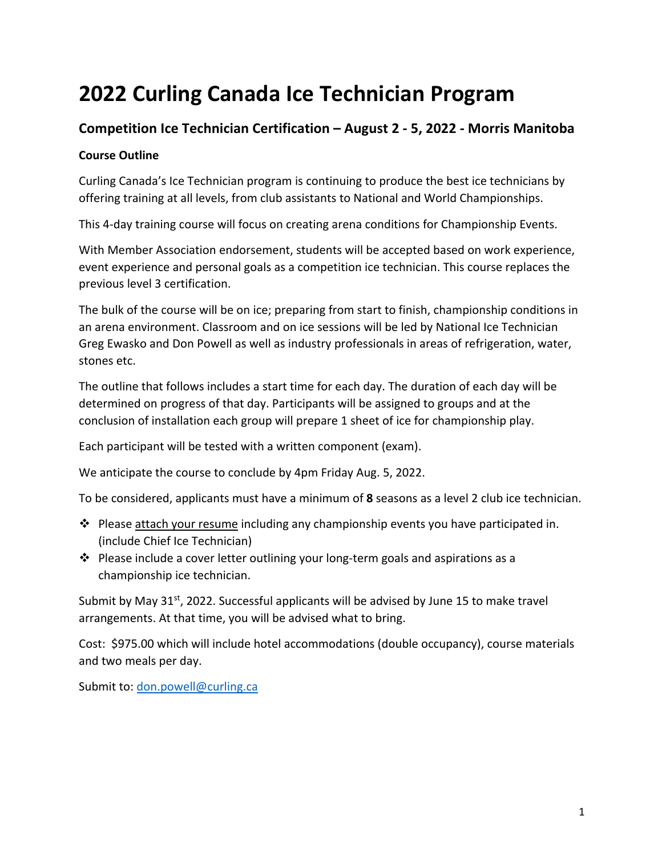# **2022 Curling Canada Ice Technician Program**

# **Competition Ice Technician Certification – August 2 - 5, 2022 - Morris Manitoba**

#### **Course Outline**

Curling Canada's Ice Technician program is continuing to produce the best ice technicians by offering training at all levels, from club assistants to National and World Championships.

This 4-day training course will focus on creating arena conditions for Championship Events.

With Member Association endorsement, students will be accepted based on work experience, event experience and personal goals as a competition ice technician. This course replaces the previous level 3 certification.

The bulk of the course will be on ice; preparing from start to finish, championship conditions in an arena environment. Classroom and on ice sessions will be led by National Ice Technician Greg Ewasko and Don Powell as well as industry professionals in areas of refrigeration, water, stones etc.

The outline that follows includes a start time for each day. The duration of each day will be determined on progress of that day. Participants will be assigned to groups and at the conclusion of installation each group will prepare 1 sheet of ice for championship play.

Each participant will be tested with a written component (exam).

We anticipate the course to conclude by 4pm Friday Aug. 5, 2022.

To be considered, applicants must have a minimum of **8** seasons as a level 2 club ice technician.

- $\cdot \cdot$  Please attach your resume including any championship events you have participated in. (include Chief Ice Technician)
- $\cdot$  Please include a cover letter outlining your long-term goals and aspirations as a championship ice technician.

Submit by May  $31^{st}$ , 2022. Successful applicants will be advised by June 15 to make travel arrangements. At that time, you will be advised what to bring.

Cost: \$975.00 which will include hotel accommodations (double occupancy), course materials and two meals per day.

Submit to: don.powell@curling.ca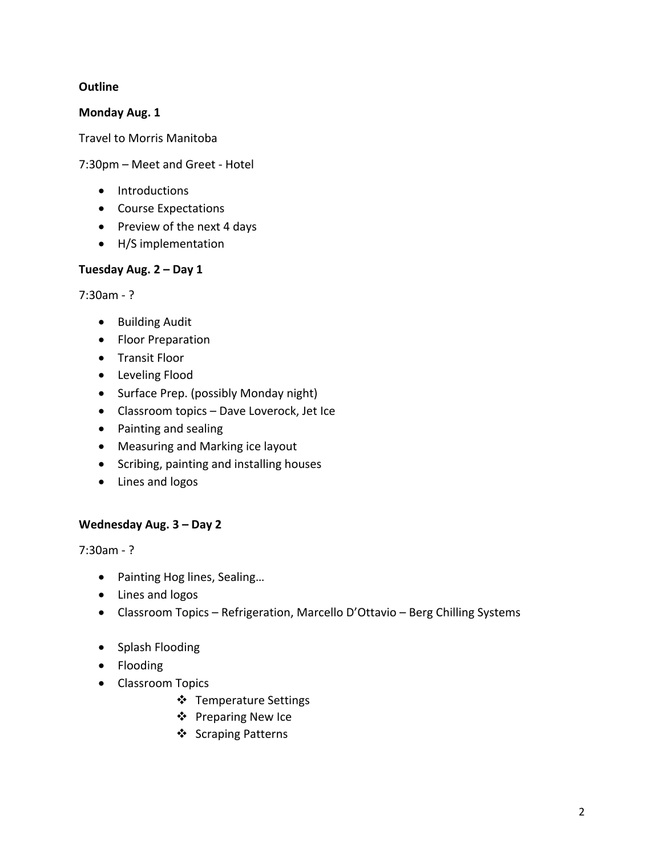#### **Outline**

**Monday Aug. 1**

Travel to Morris Manitoba

7:30pm – Meet and Greet - Hotel

- Introductions
- Course Expectations
- Preview of the next 4 days
- H/S implementation

#### **Tuesday Aug. 2 – Day 1**

7:30am - ?

- Building Audit
- Floor Preparation
- Transit Floor
- Leveling Flood
- Surface Prep. (possibly Monday night)
- Classroom topics Dave Loverock, Jet Ice
- Painting and sealing
- Measuring and Marking ice layout
- Scribing, painting and installing houses
- Lines and logos

#### **Wednesday Aug. 3 – Day 2**

7:30am - ?

- Painting Hog lines, Sealing…
- Lines and logos
- Classroom Topics Refrigeration, Marcello D'Ottavio Berg Chilling Systems
- Splash Flooding
- Flooding
- Classroom Topics
	- ❖ Temperature Settings
	- v Preparing New Ice
	- ❖ Scraping Patterns